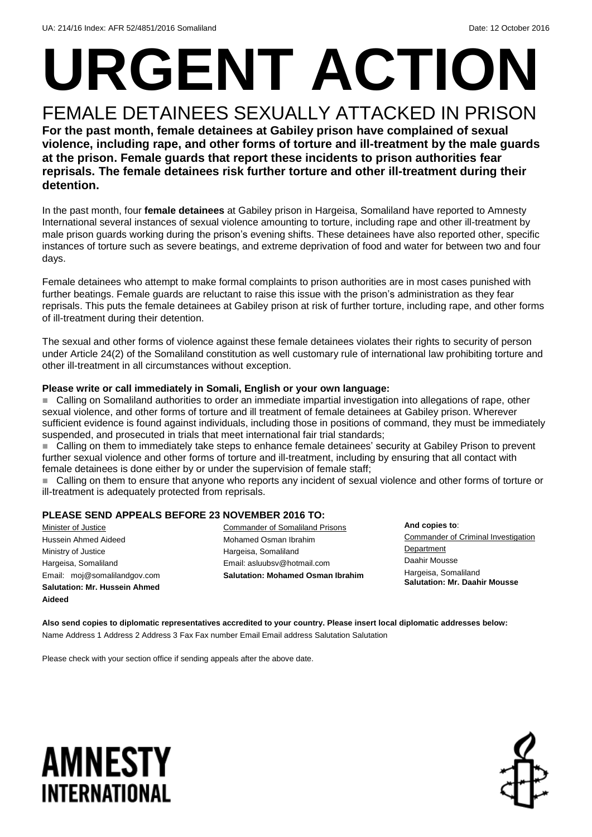## **URGENT ACTION** FEMALE DETAINEES SEXUALLY ATTACKED IN PRISON

**For the past month, female detainees at Gabiley prison have complained of sexual violence, including rape, and other forms of torture and ill-treatment by the male guards at the prison. Female guards that report these incidents to prison authorities fear reprisals. The female detainees risk further torture and other ill-treatment during their detention.**

In the past month, four **female detainees** at Gabiley prison in Hargeisa, Somaliland have reported to Amnesty International several instances of sexual violence amounting to torture, including rape and other ill-treatment by male prison guards working during the prison's evening shifts. These detainees have also reported other, specific instances of torture such as severe beatings, and extreme deprivation of food and water for between two and four days.

Female detainees who attempt to make formal complaints to prison authorities are in most cases punished with further beatings. Female guards are reluctant to raise this issue with the prison's administration as they fear reprisals. This puts the female detainees at Gabiley prison at risk of further torture, including rape, and other forms of ill-treatment during their detention.

The sexual and other forms of violence against these female detainees violates their rights to security of person under Article 24(2) of the Somaliland constitution as well customary rule of international law prohibiting torture and other ill-treatment in all circumstances without exception.

#### **Please write or call immediately in Somali, English or your own language:**

 Calling on Somaliland authorities to order an immediate impartial investigation into allegations of rape, other sexual violence, and other forms of torture and ill treatment of female detainees at Gabiley prison. Wherever sufficient evidence is found against individuals, including those in positions of command, they must be immediately suspended, and prosecuted in trials that meet international fair trial standards;

 Calling on them to immediately take steps to enhance female detainees' security at Gabiley Prison to prevent further sexual violence and other forms of torture and ill-treatment, including by ensuring that all contact with female detainees is done either by or under the supervision of female staff;

■ Calling on them to ensure that anyone who reports any incident of sexual violence and other forms of torture or ill-treatment is adequately protected from reprisals.

#### **PLEASE SEND APPEALS BEFORE 23 NOVEMBER 2016 TO:**

Minister of Justice Hussein Ahmed Aideed Ministry of Justice Hargeisa, Somaliland Email: moj@somalilandgov.com **Salutation: Mr. Hussein Ahmed Aideed**

Commander of Somaliland Prisons Mohamed Osman Ibrahim Hargeisa, Somaliland Email: asluubsv@hotmail.com **Salutation: Mohamed Osman Ibrahim**

**And copies to**: Commander of Criminal Investigation **Department** Daahir Mousse Hargeisa, Somaliland **Salutation: Mr. Daahir Mousse**

**Also send copies to diplomatic representatives accredited to your country. Please insert local diplomatic addresses below:** Name Address 1 Address 2 Address 3 Fax Fax number Email Email address Salutation Salutation

Please check with your section office if sending appeals after the above date.